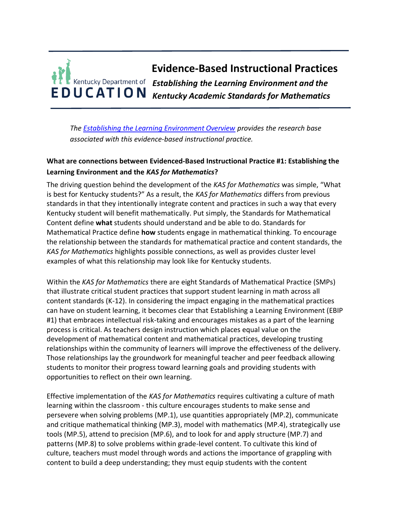# **Evidence-Based Instructional Practices** *Establishing the Learning Environment and the*  **EDUCATION** *Kentucky Academic Standards for Mathematics*

*The [Establishing the Learning Environment Overview](https://education.ky.gov/curriculum/standards/kyacadstand/Documents/EBIP_1_Establishing_the_Learning_Environment.pdf) provides the research base associated with this evidence-based instructional practice.*

## **What are connections between Evidenced-Based Instructional Practice #1: Establishing the Learning Environment and the** *KAS for Mathematics***?**

The driving question behind the development of the *KAS for Mathematics* was simple, "What is best for Kentucky students?" As a result, the *KAS for Mathematics* differs from previous standards in that they intentionally integrate content and practices in such a way that every Kentucky student will benefit mathematically. Put simply, the Standards for Mathematical Content define **what** students should understand and be able to do. Standards for Mathematical Practice define **how** students engage in mathematical thinking. To encourage the relationship between the standards for mathematical practice and content standards, the *KAS for Mathematics* highlights possible connections, as well as provides cluster level examples of what this relationship may look like for Kentucky students.

Within the *KAS for Mathematics* there are eight Standards of Mathematical Practice (SMPs) that illustrate critical student practices that support student learning in math across all content standards (K-12). In considering the impact engaging in the mathematical practices can have on student learning, it becomes clear that Establishing a Learning Environment (EBIP #1) that embraces intellectual risk-taking and encourages mistakes as a part of the learning process is critical. As teachers design instruction which places equal value on the development of mathematical content and mathematical practices, developing trusting relationships within the community of learners will improve the effectiveness of the delivery. Those relationships lay the groundwork for meaningful teacher and peer feedback allowing students to monitor their progress toward learning goals and providing students with opportunities to reflect on their own learning.

Effective implementation of the *KAS for Mathematics* requires cultivating a culture of math learning within the classroom - this culture encourages students to make sense and persevere when solving problems (MP.1), use quantities appropriately (MP.2), communicate and critique mathematical thinking (MP.3), model with mathematics (MP.4), strategically use tools (MP.5), attend to precision (MP.6), and to look for and apply structure (MP.7) and patterns (MP.8) to solve problems within grade-level content. To cultivate this kind of culture, teachers must model through words and actions the importance of grappling with content to build a deep understanding; they must equip students with the content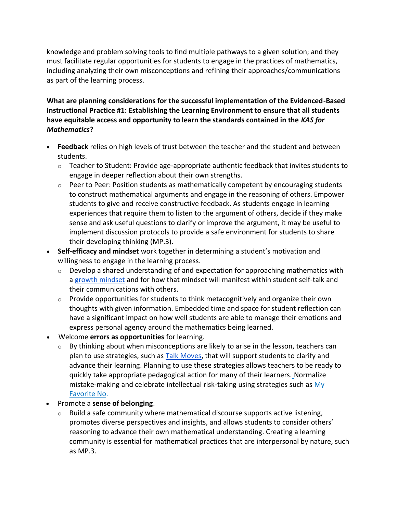knowledge and problem solving tools to find multiple pathways to a given solution; and they must facilitate regular opportunities for students to engage in the practices of mathematics, including analyzing their own misconceptions and refining their approaches/communications as part of the learning process.

**What are planning considerations for the successful implementation of the Evidenced-Based Instructional Practice #1: Establishing the Learning Environment to ensure that all students have equitable access and opportunity to learn the standards contained in the** *KAS for Mathematics***?**

- **Feedback** relies on high levels of trust between the teacher and the student and between students.
	- $\circ$  Teacher to Student: Provide age-appropriate authentic feedback that invites students to engage in deeper reflection about their own strengths.
	- $\circ$  Peer to Peer: Position students as mathematically competent by encouraging students to construct mathematical arguments and engage in the reasoning of others. Empower students to give and receive constructive feedback. As students engage in learning experiences that require them to listen to the argument of others, decide if they make sense and ask useful questions to clarify or improve the argument, it may be useful to implement discussion protocols to provide a safe environment for students to share their developing thinking (MP.3).
- **Self-efficacy and mindset** work together in determining a student's motivation and willingness to engage in the learning process.
	- $\circ$  Develop a shared understanding of and expectation for approaching mathematics with a [growth mindset](https://www.youcubed.org/resource/growth-mindset/) and for how that mindset will manifest within student self-talk and their communications with others.
	- $\circ$  Provide opportunities for students to think metacognitively and organize their own thoughts with given information. Embedded time and space for student reflection can have a significant impact on how well students are able to manage their emotions and express personal agency around the mathematics being learned.
- Welcome **errors as opportunities** for learning.
	- $\circ$  By thinking about when misconceptions are likely to arise in the lesson, teachers can plan to use strategies, such as [Talk Moves,](https://irp-cdn.multiscreensite.com/7a45b809/files/uploaded/talk_moves_map_oconnor_2017.pdf) that will support students to clarify and advance their learning. Planning to use these strategies allows teachers to be ready to quickly take appropriate pedagogical action for many of their learners. Normalize mistake-making and celebrate intellectual risk-taking using strategies such as  $My$ [Favorite No.](https://learn.teachingchannel.com/video/class-warm-up-routine)
- Promote a **sense of belonging**.
	- $\circ$  Build a safe community where mathematical discourse supports active listening, promotes diverse perspectives and insights, and allows students to consider others' reasoning to advance their own mathematical understanding. Creating a learning community is essential for mathematical practices that are interpersonal by nature, such as MP.3.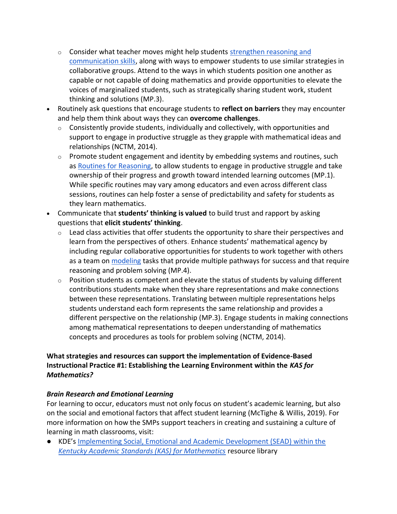- $\circ$  Consider what teacher moves might help students strengthen reasoning and [communication skills,](http://stem4els.wceruw.org/resources/Student-and-Teacher-moves.pdf) along with ways to empower students to use similar strategies in collaborative groups. Attend to the ways in which students position one another as capable or not capable of doing mathematics and provide opportunities to elevate the voices of marginalized students, such as strategically sharing student work, student thinking and solutions (MP.3).
- Routinely ask questions that encourage students to **reflect on barriers** they may encounter and help them think about ways they can **overcome challenges**.
	- $\circ$  Consistently provide students, individually and collectively, with opportunities and support to engage in productive struggle as they grapple with mathematical ideas and relationships (NCTM, 2014).
	- $\circ$  Promote student engagement and identity by embedding systems and routines, such as [Routines for Reasoning,](http://www.fosteringmathpractices.com/routinesforreasoning/) to allow students to engage in productive struggle and take ownership of their progress and growth toward intended learning outcomes (MP.1). While specific routines may vary among educators and even across different class sessions, routines can help foster a sense of predictability and safety for students as they learn mathematics.
- Communicate that **students' thinking is valued** to build trust and rapport by asking questions that **elicit students' thinking**.
	- $\circ$  Lead class activities that offer students the opportunity to share their perspectives and learn from the perspectives of others. Enhance students' mathematical agency by including regular collaborative opportunities for students to work together with others as a team on [modeling](http://www.siam.org/Portals/0/Publications/Reports/gaimme-full_color_for_online_viewing.pdf?ver=2018-03-19-115454-057) tasks that provide multiple pathways for success and that require reasoning and problem solving (MP.4).
	- o Position students as competent and elevate the status of students by valuing different contributions students make when they share representations and make connections between these representations. Translating between multiple representations helps students understand each form represents the same relationship and provides a different perspective on the relationship (MP.3). Engage students in making connections among mathematical representations to deepen understanding of mathematics concepts and procedures as tools for problem solving (NCTM, 2014).

### **What strategies and resources can support the implementation of Evidence-Based Instructional Practice #1: Establishing the Learning Environment within the** *KAS for Mathematics?*

## *Brain Research and Emotional Learning*

For learning to occur, educators must not only focus on student's academic learning, but also on the social and emotional factors that affect student learning (McTighe & Willis, 2019). For more information on how the SMPs support teachers in creating and sustaining a culture of learning in math classrooms, visit:

● KDE's [Implementing Social, Emotional and Academic Development \(SEAD\) within the](https://kystandards.org/standards-resources/mathematics-resources/integrating-sead-mathematics/) *[Kentucky Academic Standards \(KAS\) for Mathematics](https://kystandards.org/standards-resources/mathematics-resources/integrating-sead-mathematics/)* resource library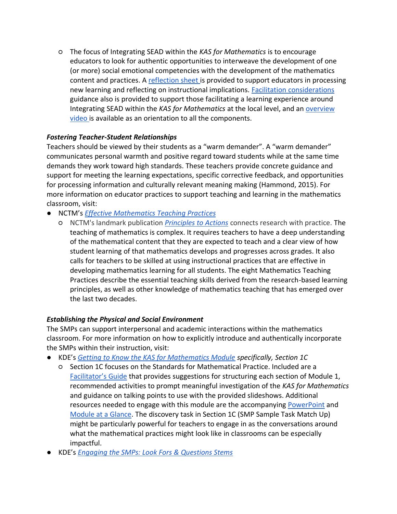○ The focus of Integrating SEAD within the *KAS for Mathematics* is to encourage educators to look for authentic opportunities to interweave the development of one (or more) social emotional competencies with the development of the mathematics content and practices. A [reflection sheet i](https://lnks.gd/l/eyJhbGciOiJIUzI1NiJ9.eyJidWxsZXRpbl9saW5rX2lkIjoxMDEsInVyaSI6ImJwMjpjbGljayIsImJ1bGxldGluX2lkIjoiMjAyMTAyMTAuMzQ5NjM1OTEiLCJ1cmwiOiJodHRwczovL2VkdWNhdGlvbi5reS5nb3YvY3VycmljdWx1bS9zdGFuZGFyZHMva3lhY2Fkc3RhbmQvRG9jdW1lbnRzL1JlZmxlY3Rpb25fU2hlZXRfSW50ZWdyYXRpbmdfU0VBRF93aXRoaW5fS0FTX2Zvcl9NYXRoZW1hdGljcy5kb2N4In0.yxnbUMfNGZ1DoEm4LEd2IcujrAzR7bQ2hsCTjimY_xk/s/947322386/br/97310459794-l)s provided to support educators in processing new learning and reflecting on instructional implications. [Facilitation considerations](https://lnks.gd/l/eyJhbGciOiJIUzI1NiJ9.eyJidWxsZXRpbl9saW5rX2lkIjoxMDIsInVyaSI6ImJwMjpjbGljayIsImJ1bGxldGluX2lkIjoiMjAyMTAyMTAuMzQ5NjM1OTEiLCJ1cmwiOiJodHRwczovL2VkdWNhdGlvbi5reS5nb3YvY3VycmljdWx1bS9zdGFuZGFyZHMva3lhY2Fkc3RhbmQvRG9jdW1lbnRzL0ZhY2lsaXRhdGlvbl9Db25zaWRlcmF0aW9uc19mb3JfSW50ZWdyYXRpbmdfU0VBRF93aXRoaW5fS0FTX2Zvcl9NYXRoZW1hdGljcy5kb2N4In0.RTsT2Cwc-GFO8t4MCoKQzBZr8cCSrbER_Wa0GEoKvuo/s/947322386/br/97310459794-l)  guidance also is provided to support those facilitating a learning experience around Integrating SEAD within the *KAS for Mathematics* at the local level, and an [overview](https://lnks.gd/l/eyJhbGciOiJIUzI1NiJ9.eyJidWxsZXRpbl9saW5rX2lkIjoxMDMsInVyaSI6ImJwMjpjbGljayIsImJ1bGxldGluX2lkIjoiMjAyMTAyMTAuMzQ5NjM1OTEiLCJ1cmwiOiJodHRwczovL3d3dy55b3V0dWJlLmNvbS93YXRjaD92PVFJWHRlSldpdFZnJmZlYXR1cmU9ZW1iX2xvZ28ifQ.xaT-k4lAADR6suBqu0BuGDlgqZTzk1TCLK8inCQ_Cbo/s/947322386/br/97310459794-l)  [video i](https://lnks.gd/l/eyJhbGciOiJIUzI1NiJ9.eyJidWxsZXRpbl9saW5rX2lkIjoxMDMsInVyaSI6ImJwMjpjbGljayIsImJ1bGxldGluX2lkIjoiMjAyMTAyMTAuMzQ5NjM1OTEiLCJ1cmwiOiJodHRwczovL3d3dy55b3V0dWJlLmNvbS93YXRjaD92PVFJWHRlSldpdFZnJmZlYXR1cmU9ZW1iX2xvZ28ifQ.xaT-k4lAADR6suBqu0BuGDlgqZTzk1TCLK8inCQ_Cbo/s/947322386/br/97310459794-l)s available as an orientation to all the components.

### *Fostering Teacher-Student Relationships*

Teachers should be viewed by their students as a "warm demander". A "warm demander" communicates personal warmth and positive regard toward students while at the same time demands they work toward high standards. These teachers provide concrete guidance and support for meeting the learning expectations, specific corrective feedback, and opportunities for processing information and culturally relevant meaning making (Hammond, 2015). For more information on educator practices to support teaching and learning in the mathematics classroom, visit:

- NCTM's *[Effective Mathematics Teaching Practices](https://education.ky.gov/curriculum/standards/kyacadstand/Documents/Effective_Mathematics_Teaching_Practices_NCTM.docx)*
	- NCTM's landmark publication *[Principles to Actions](http://www.nctm.org/store/Products/Principles-to-Actions--Ensuring-Mathematical-Success-for-All/)* connects research with practice. The teaching of mathematics is complex. It requires teachers to have a deep understanding of the mathematical content that they are expected to teach and a clear view of how student learning of that mathematics develops and progresses across grades. It also calls for teachers to be skilled at using instructional practices that are effective in developing mathematics learning for all students. The eight Mathematics Teaching Practices describe the essential teaching skills derived from the research-based learning principles, as well as other knowledge of mathematics teaching that has emerged over the last two decades.

#### *Establishing the Physical and Social Environment*

The SMPs can support interpersonal and academic interactions within the mathematics classroom. For more information on how to explicitly introduce and authentically incorporate the SMPs within their instruction, visit:

- KDE's *[Getting to Know the KAS for Mathematics Module](https://kystandards.org/standards-resources/mathematics-resources/math-pl-modules/) specifically, Section 1C*
	- Section 1C focuses on the Standards for Mathematical Practice. Included are a [Facilitator's Guide](https://education.ky.gov/curriculum/standards/kyacadstand/Documents/Facilitators_Guide_Getting_to_Know_the_KAS_for_Mathematics.pdf) that provides suggestions for structuring each section of Module 1, recommended activities to prompt meaningful investigation of the *KAS for Mathematics* and guidance on talking points to use with the provided slideshows. Additional resources needed to engage with this module are the accompanying [PowerPoint](https://kystandards.org/wp-content/uploads/2019/06/Module_1_Getting_to_Know_the_Kentucky_Academic_Standards_for_Mathematics.pptx) and [Module at a Glance.](https://kystandards.org/wp-content/uploads/2019/04/Module_1_At_a_Glance_Mathematics.pdf) The discovery task in Section 1C (SMP Sample Task Match Up) might be particularly powerful for teachers to engage in as the conversations around what the mathematical practices might look like in classrooms can be especially impactful.
- KDE's *[Engaging the SMPs: Look Fors & Questions Stems](https://education.ky.gov/curriculum/standards/kyacadstand/Documents/SMP_Look_Fors_and_Question_Stems.pdf)*